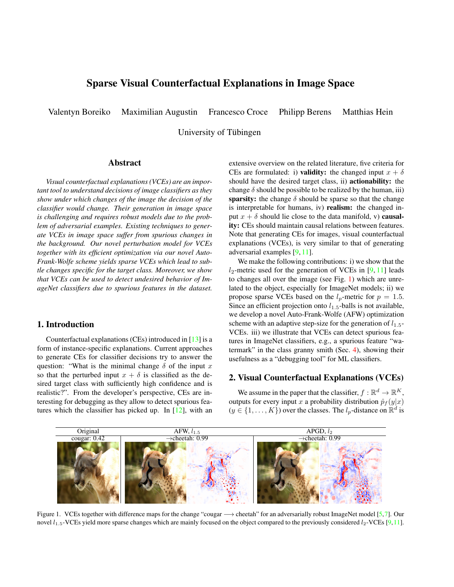# Sparse Visual Counterfactual Explanations in Image Space

Valentyn Boreiko Maximilian Augustin Francesco Croce Philipp Berens Matthias Hein

University of Tübingen

## Abstract

*Visual counterfactual explanations (VCEs) are an important tool to understand decisions of image classifiers as they show under which changes of the image the decision of the classifier would change. Their generation in image space is challenging and requires robust models due to the problem of adversarial examples. Existing techniques to generate VCEs in image space suffer from spurious changes in the background. Our novel perturbation model for VCEs together with its efficient optimization via our novel Auto-Frank-Wolfe scheme yields sparse VCEs which lead to subtle changes specific for the target class. Moreover, we show that VCEs can be used to detect undesired behavior of ImageNet classifiers due to spurious features in the dataset.*

### 1. Introduction

Counterfactual explanations (CEs) introduced in [13] is a form of instance-specific explanations. Current approaches to generate CEs for classifier decisions try to answer the question: "What is the minimal change  $\delta$  of the input x so that the perturbed input  $x + \delta$  is classified as the desired target class with sufficiently high confidence and is realistic?". From the developer's perspective, CEs are interesting for debugging as they allow to detect spurious features which the classifier has picked up. In [12], with an extensive overview on the related literature, five criteria for CEs are formulated: i) validity: the changed input  $x + \delta$ should have the desired target class, ii) actionability: the change  $\delta$  should be possible to be realized by the human, iii) sparsity: the change  $\delta$  should be sparse so that the change is interpretable for humans, iv) realism: the changed input  $x + \delta$  should lie close to the data manifold, v) **causal**ity: CEs should maintain causal relations between features. Note that generating CEs for images, visual counterfactual explanations (VCEs), is very similar to that of generating adversarial examples [9, 11].

We make the following contributions: i) we show that the  $l_2$ -metric used for the generation of VCEs in [9, 11] leads to changes all over the image (see Fig. 1) which are unrelated to the object, especially for ImageNet models; ii) we propose sparse VCEs based on the  $l_p$ -metric for  $p = 1.5$ . Since an efficient projection onto  $l_{1.5}$ -balls is not available, we develop a novel Auto-Frank-Wolfe (AFW) optimization scheme with an adaptive step-size for the generation of  $l_{1.5}$ -VCEs. iii) we illustrate that VCEs can detect spurious features in ImageNet classifiers, e.g., a spurious feature "watermark" in the class granny smith (Sec. 4), showing their usefulness as a "debugging tool" for ML classifiers.

# 2. Visual Counterfactual Explanations (VCEs)

We assume in the paper that the classifier,  $f : \mathbb{R}^d \to \mathbb{R}^K$ , outputs for every input x a probability distribution  $\hat{p}_f(y|x)$  $(y \in \{1, ..., K\})$  over the classes. The  $l_p$ -distance on  $\mathbb{R}^d$  is



Figure 1. VCEs together with difference maps for the change "cougar → cheetah" for an adversarially robust ImageNet model [5,7]. Our novel  $l_{1.5}$ -VCEs yield more sparse changes which are mainly focused on the object compared to the previously considered  $l_2$ -VCEs [9,11].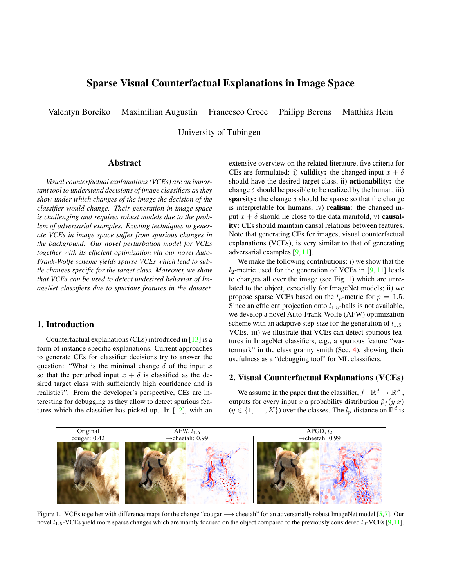

Figure 2. CIFAR10:  $l_2$ -VCEs of radius  $\epsilon = 2.5$  of different classifiers for the change "car  $\rightarrow$  truck" We denote by  $p_i$  resp.  $p_e$  the confidence in the target class for the original image and the generated VCE. All generated VCEs are valid as high confidence in the target class is achieved but only adversarially robust models, see Tab. 1, show class-specific changes.

defined as:  $||x - y||_p = \begin{bmatrix} \n\frac{d}{dx} & -y_i \n\end{bmatrix}$   $|x_i - y_i|^p \stackrel{\frac{1}{p}}{\rightarrow}$ . We generate VCEs by solving

$$
\underset{x \geq [0,1]^d \setminus B(x_0,\epsilon)}{\arg \max} \log \hat{p}_f(k|x), \tag{1}
$$

where  $B(x_0, \epsilon) = \{x \in \mathbb{R}^d \mid d(x, x_0) \leq \epsilon\}$ . The constraint  $x \in [0, 1]^d$  is necessary to generate valid images. The choice of the distance metric is crucial for the quality of the VCEs (see Sec. 2.2). The parameter  $\epsilon$  can be interpreted as "perturbation budget" with respect to the chosen metric. We solve it with adversarial attacks, that is either APGD [4] or our novel Frank-Wolfe based method AFW (details below). For both we use 5 random restarts of 75 iterations. For the quantitative evaluation of the image quality of VCEs we use FID scores by generating 10, 000 VCEs from the test set for the in-distribution (ID) evaluation, where the target class is the second most likely class according to an ensemble of all classifiers (see Fig. 2). An evaluation using FID scores on the ID test set only is in our setting problematic, as methods with no (or minimal) change would get the best FID score. Thus, we also generate 10, 000 VCEs from an out-of-distribution (OD) dataset (the first 10k of 80M Tiny Images respectively ImagetNet-A and ImageNet-O) where the target label corresponds to the decision of the ensemble. In our experience from the qualitative inspection of the images, the average of FID scores on ID and OD images reflects best the realism and quality of the VCEs.

### 2.1. What kind of (adversarial) robustness is required for VCEs?

While previous work  $[9, 11]$  has shown that  $l_2$ adversarially robust models lead to realistic VCEs, there has been no study so far about what kind of adversarial robustness in terms of the employed threat model is needed nor if more robust models also have better generative properties. For this purpose, we qualitatively compare different CIFAR-10 classifiers in Fig. 2 and quantitatively in Tab. 1. GU+FT stands for fine-tuning the GU model [5] to get multiple-norm-robust. From Fig. 2 one observes that the two non-robust models BiT-M and HenC do not produce any meaningful counterfactuals. Surprisingly, the RST-s model has some adversarial robustness but its  $l_2$ -VCEs do

Table 1. CIFAR-10: Evaluation of (robust) classifiers for standard accuracy,  $l_1$ -,  $l_1$ <sub>.5</sub>- and  $l_2$ -robust accuracy (RA) evaluated at  $\epsilon_1$  = 12,  $\epsilon_{1.5}$  = 1.5, and  $\epsilon_2$  = 0.5 respectively (first 1k test points). Further, FID scores for  $l_1$ -,  $l_1$ ,  $l_5$ -, and  $l_2$ -VCEs at  $\epsilon_1 = 20$ ,  $\epsilon_{1.5} =$ 6,  $\epsilon_2$  = 2.5 for in-and out-of-distribution inputs and their average are shown. For all classifiers except RATIO  $l_{1.5}$ -VCEs attain the best average FID score.

|            | BiT-M | $RST-s$ | <b>RATIO</b> | GU   | GU+FT | PAT  | HenC |
|------------|-------|---------|--------------|------|-------|------|------|
| Acc.       | 97.4  | 87.9    | 94.0         | 94.7 | 90.8  | 82.4 | 95.8 |
| $l_1$ -RA  | 0.0   | 36.5    | 34.3         | 33.4 | 58.0  | 32.9 | 0.0  |
| $l_1$ 5-RA | 0.0   | 70.4    | 75.4         | 76.8 | 76.7  | 59.2 | 0.3  |
| $l_2$ -RA  | 0.0   | 71.4    | 79.9         | 81.7 | 79.2  | 62.4 | 0.1  |
|            |       |         |              |      |       |      |      |

| FID scores for $l_1$ -VCE |      |      |      |      |      |      |      |  |  |
|---------------------------|------|------|------|------|------|------|------|--|--|
| ID                        | 25.1 | 26.0 | 24.4 | 31.1 | 10.2 | 29.1 | วว ว |  |  |
| OD                        | 79.5 | 72.6 | 57.8 | 71.4 | 52.7 |      | 79.5 |  |  |
| Avg.                      | 52.3 | 49.8 |      | 51.3 | 31.5 | 50.6 | 51.  |  |  |

| FID scores for $l_1$ s-VCE |      |      |      |      |      |      |      |  |  |
|----------------------------|------|------|------|------|------|------|------|--|--|
| <b>ID</b>                  | 12.2 | 8.5  | 11.7 | 12.3 | 9.2  | 14.4 | 18.8 |  |  |
| OD                         | 62.7 | 51.6 | 30.4 | 52.5 | 43.4 | 51.6 | 62.4 |  |  |
| Avg.                       | 42.5 | 30.1 | 19.5 | 32.4 | 26.3 | 33.0 | 40.6 |  |  |

| FID scores for $l_2$ -VCE |      |      |      |      |      |      |      |  |  |
|---------------------------|------|------|------|------|------|------|------|--|--|
| <b>ID</b>                 | 55.4 | 10.3 | 12.2 | 15.8 | 11.9 | 18.8 | 37.9 |  |  |
| OD                        | 83.9 | 50.7 | 26.0 | 53.9 |      | 49.0 | 67.2 |  |  |
| Avg.                      | 69.7 | 30.5 | 19.1 | 34.9 | 26.7 | 33.9 | 52.6 |  |  |

Table 2. **ImageNet:** Accuracy and  $l_{1.5}$ -,  $l_2$ -robust accuracy (RA) at  $\epsilon_{1.5}$  = 12.5,  $\epsilon_2$  = 2 for the *l*<sub>2</sub>-adv. robust model from Madry [8] and Madry [8]+FT, and FID scores for  $l_1$ ,  $l_{1.5}$ - and  $l_2$ -VCEs, at  $\epsilon_1$  = 400,  $\epsilon_{1.5}$  = 50,  $\epsilon_2$  = 12, generated on in(ID)- and /outdistribution(OD) images and their average. The best FID score are achieved for  $l_{1.5}$ -VCEs for the Madry [8]+FT model.

|                      | <b>Accuracies</b> |  |  | FID scores (ID/OD/AVG)                                              |             |            |  |  |
|----------------------|-------------------|--|--|---------------------------------------------------------------------|-------------|------------|--|--|
|                      |                   |  |  | $ Acc. l_2-RA l_{1.5}-RA  $ $l_1$ -VCE                              | $l_1$ 5-VCE | $l_2$ -VCE |  |  |
|                      |                   |  |  | Madry [8] 57.9 45.7 37.4 13.6/41.6/27.6 8.4/24.3/16.4 8.4/22.8/15.6 |             |            |  |  |
| $[8] + FT$ 57.5 44.6 |                   |  |  | 40.1 9.6/35.7/22.6 6.9/22.6/14.8 7.9/23.1/15.5                      |             |            |  |  |

minimal changes to the image, with little class-specific features of the target class. Thus the FID score for the ID is low, but the FID score of the OD is high. Moreover, the PAT-model, trained for robustness with respect to a perceptual distance produces VCEs that show strong artefacts. The